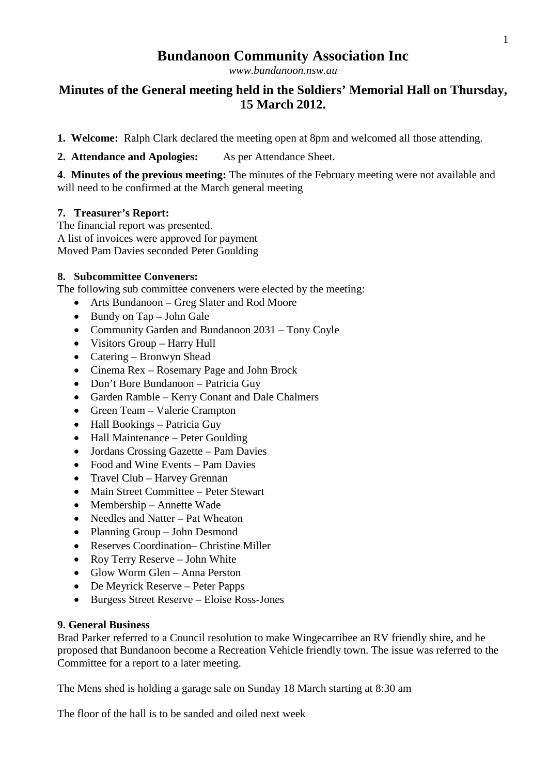# **Bundanoon Community Association Inc**

*[www.bundanoon.nsw.au](http://www.bundanoon.nsw.au/)*

## **Minutes of the General meeting held in the Soldiers' Memorial Hall on Thursday, 15 March 2012.**

- **1. Welcome:** Ralph Clark declared the meeting open at 8pm and welcomed all those attending.
- **2. Attendance and Apologies:** As per Attendance Sheet.

**4**. **Minutes of the previous meeting:** The minutes of the February meeting were not available and will need to be confirmed at the March general meeting

### **7. Treasurer's Report:**

The financial report was presented. A list of invoices were approved for payment Moved Pam Davies seconded Peter Goulding

### **8. Subcommittee Conveners:**

The following sub committee conveners were elected by the meeting:

- Arts Bundanoon Greg Slater and Rod Moore
- Bundy on Tap John Gale
- Community Garden and Bundanoon 2031 Tony Coyle
- Visitors Group Harry Hull
- Catering Bronwyn Shead
- Cinema Rex Rosemary Page and John Brock
- Don't Bore Bundanoon Patricia Guy
- Garden Ramble Kerry Conant and Dale Chalmers
- Green Team Valerie Crampton
- Hall Bookings Patricia Guy
- Hall Maintenance Peter Goulding
- Jordans Crossing Gazette Pam Davies
- Food and Wine Events Pam Davies
- Travel Club Harvey Grennan
- Main Street Committee Peter Stewart
- Membership Annette Wade
- Needles and Natter Pat Wheaton
- Planning Group John Desmond
- Reserves Coordination– Christine Miller
- Roy Terry Reserve John White
- Glow Worm Glen Anna Perston
- De Meyrick Reserve Peter Papps
- Burgess Street Reserve Eloise Ross-Jones

#### **9. General Business**

Brad Parker referred to a Council resolution to make Wingecarribee an RV friendly shire, and he proposed that Bundanoon become a Recreation Vehicle friendly town. The issue was referred to the Committee for a report to a later meeting.

The Mens shed is holding a garage sale on Sunday 18 March starting at 8:30 am

The floor of the hall is to be sanded and oiled next week